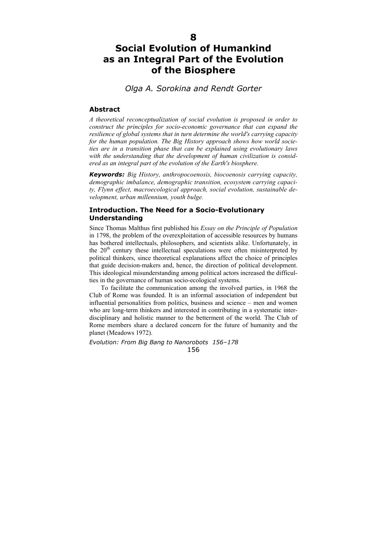# **Social Evolution of Humankind as an Integral Part of the Evolution of the Biosphere**

# *Olga A. Sorokina and Rendt Gorter*

## **Abstract**

*A theoretical reconceptualization of social evolution is proposed in order to construct the principles for socio-economic governance that can expand the resilience of global systems that in turn determine the world's carrying capacity for the human population. The Big History approach shows how world societies are in a transition phase that can be explained using evolutionary laws with the understanding that the development of human civilization is considered as an integral part of the evolution of the Earth's biosphere.* 

*Keywords: Big History, anthropocoenosis, biocoenosis carrying capacity, demographic imbalance, demographic transition, ecosystem carrying capacity, Flynn effect, macroecological approach, social evolution, sustainable development, urban millennium, youth bulge.* 

## **Introduction. The Need for a Socio-Evolutionary Understanding**

Since Thomas Malthus first published his *Essay on the Principle of Population* in 1798, the problem of the overexploitation of accessible resources by humans has bothered intellectuals, philosophers, and scientists alike. Unfortunately, in the 20<sup>th</sup> century these intellectual speculations were often misinterpreted by political thinkers, since theoretical explanations affect the choice of principles that guide decision-makers and, hence, the direction of political development. This ideological misunderstanding among political actors increased the difficulties in the governance of human socio-ecological systems.

To facilitate the communication among the involved parties, in 1968 the Club of Rome was founded. It is an informal association of independent but influential personalities from politics, business and science – men and women who are long-term thinkers and interested in contributing in a systematic interdisciplinary and holistic manner to the betterment of the world. The Club of Rome members share a declared concern for the future of humanity and the planet (Meadows 1972).

*Evolution: From Big Bang to Nanorobots 156–178*  156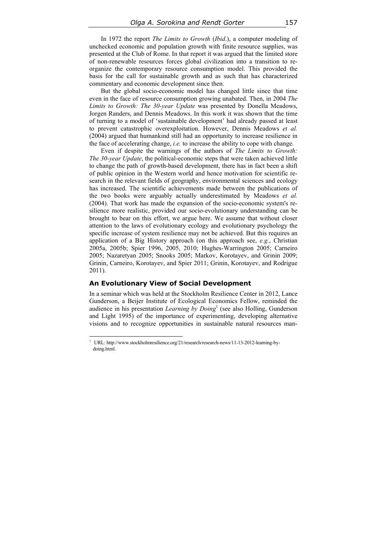In 1972 the report *The Limits to Growth* (*Ibid*.), a computer modeling of unchecked economic and population growth with finite resource supplies, was presented at the Club of Rome. In that report it was argued that the limited store of non-renewable resources forces global civilization into a transition to reorganize the contemporary resource consumption model. This provided the basis for the call for sustainable growth and as such that has characterized commentary and economic development since then.

But the global socio-economic model has changed little since that time even in the face of resource consumption growing unabated. Then, in 2004 *The Limits to Growth: The 30-year Update* was presented by Donella Meadows, Jorgen Randers, and Dennis Meadows. In this work it was shown that the time of turning to a model of 'sustainable development' had already passed at least to prevent catastrophic overexploitation. However, Dennis Meadows *et al.* (2004) argued that humankind still had an opportunity to increase resilience in the face of accelerating change, *i.e.* to increase the ability to cope with change.

Even if despite the warnings of the authors of *The Limits to Growth: The 30-year Update*, the political-economic steps that were taken achieved little to change the path of growth-based development, there has in fact been a shift of public opinion in the Western world and hence motivation for scientific research in the relevant fields of geography, environmental sciences and ecology has increased. The scientific achievements made between the publications of the two books were arguably actually underestimated by Meadows *et al.*  (2004). That work has made the expansion of the socio-economic system's resilience more realistic, provided our socio-evolutionary understanding can be brought to bear on this effort, we argue here. We assume that without closer attention to the laws of evolutionary ecology and evolutionary psychology the specific increase of system resilience may not be achieved. But this requires an application of a Big History approach (on this approach see, *e.g.*, Christian 2005a, 2005b; Spier 1996, 2005, 2010; Hughes-Warrington 2005; Carneiro 2005; Nazaretyan 2005; Snooks 2005; Markov, Korotayev, and Grinin 2009; Grinin, Carneiro, Korotayev, and Spier 2011; Grinin, Korotayev, and Rodrigue 2011).

## **An Evolutionary View of Social Development**

 $\overline{\phantom{a}}$ 

In a seminar which was held at the Stockholm Resilience Center in 2012, Lance Gunderson, a Beijer Institute of Ecological Economics Fellow, reminded the audience in his presentation *Learning by Doing*<sup>1</sup> (see also Holling, Gunderson and Light 1995) of the importance of experimenting, developing alternative visions and to recognize opportunities in sustainable natural resources man-

<sup>&</sup>lt;sup>1</sup> URL: http://www.stockholmresilience.org/21/research/research-news/11-13-2012-learning-bydoing.html.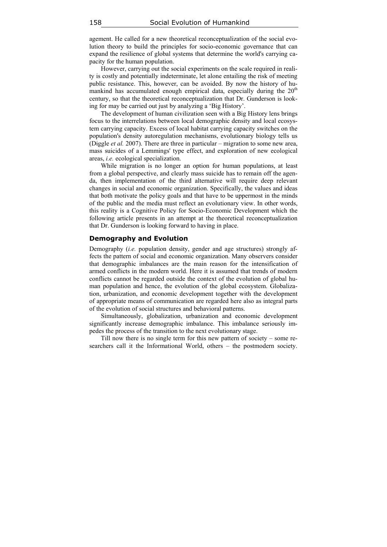agement. He called for a new theoretical reconceptualization of the social evolution theory to build the principles for socio-economic governance that can expand the resilience of global systems that determine the world's carrying capacity for the human population.

However, carrying out the social experiments on the scale required in reality is costly and potentially indeterminate, let alone entailing the risk of meeting public resistance. This, however, can be avoided. By now the history of humankind has accumulated enough empirical data, especially during the  $20<sup>th</sup>$ century, so that the theoretical reconceptualization that Dr. Gunderson is looking for may be carried out just by analyzing a 'Big History'.

The development of human civilization seen with a Big History lens brings focus to the interrelations between local demographic density and local ecosystem carrying capacity. Excess of local habitat carrying capacity switches on the population's density autoregulation mechanisms, evolutionary biology tells us (Diggle *et al.* 2007). There are three in particular – migration to some new area, mass suicides of a Lemmings' type effect, and exploration of new ecological areas, *i.e.* ecological specialization.

While migration is no longer an option for human populations, at least from a global perspective, and clearly mass suicide has to remain off the agenda, then implementation of the third alternative will require deep relevant changes in social and economic organization. Specifically, the values and ideas that both motivate the policy goals and that have to be uppermost in the minds of the public and the media must reflect an evolutionary view. In other words, this reality is a Cognitive Policy for Socio-Economic Development which the following article presents in an attempt at the theoretical reconceptualization that Dr. Gunderson is looking forward to having in place.

## **Demography and Evolution**

Demography (*i.e.* population density, gender and age structures) strongly affects the pattern of social and economic organization. Many observers consider that demographic imbalances are the main reason for the intensification of armed conflicts in the modern world. Here it is assumed that trends of modern conflicts cannot be regarded outside the context of the evolution of global human population and hence, the evolution of the global ecosystem. Globalization, urbanization, and economic development together with the development of appropriate means of communication are regarded here also as integral parts of the evolution of social structures and behavioral patterns.

Simultaneously, globalization, urbanization and economic development significantly increase demographic imbalance. This imbalance seriously impedes the process of the transition to the next evolutionary stage.

Till now there is no single term for this new pattern of society – some researchers call it the Informational World, others – the postmodern society.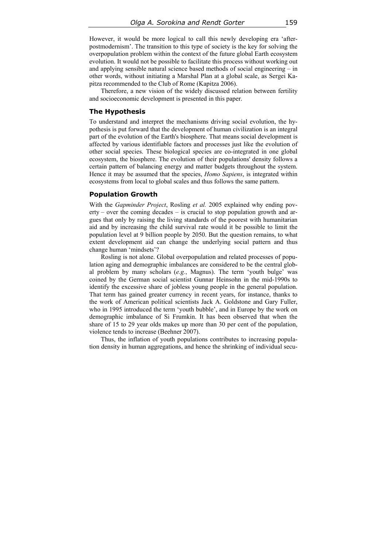However, it would be more logical to call this newly developing era 'afterpostmodernism'. The transition to this type of society is the key for solving the overpopulation problem within the context of the future global Earth ecosystem evolution. It would not be possible to facilitate this process without working out and applying sensible natural science based methods of social engineering – in other words, without initiating a Marshal Plan at a global scale, as Sergei Kapitza recommended to the Club of Rome (Kapitza 2006).

Therefore, a new vision of the widely discussed relation between fertility and socioeconomic development is presented in this paper.

#### **The Hypothesis**

To understand and interpret the mechanisms driving social evolution, the hypothesis is put forward that the development of human civilization is an integral part of the evolution of the Earth's biosphere. That means social development is affected by various identifiable factors and processes just like the evolution of other social species. These biological species are co-integrated in one global ecosystem, the biosphere. The evolution of their populations' density follows a certain pattern of balancing energy and matter budgets throughout the system. Hence it may be assumed that the species, *Homo Sapiens*, is integrated within ecosystems from local to global scales and thus follows the same pattern.

## **Population Growth**

With the *Gapminder Project*, Rosling *et al.* 2005 explained why ending poverty – over the coming decades – is crucial to stop population growth and argues that only by raising the living standards of the poorest with humanitarian aid and by increasing the child survival rate would it be possible to limit the population level at 9 billion people by 2050. But the question remains, to what extent development aid can change the underlying social pattern and thus change human 'mindsets'?

Rosling is not alone. Global overpopulation and related processes of population aging and demographic imbalances are considered to be the central global problem by many scholars (*e.g.*, Magnus). The term 'youth bulge' was coined by the German social scientist Gunnar Heinsohn in the mid-1990s to identify the excessive share of jobless young people in the general population. That term has gained greater currency in recent years, for instance, thanks to the work of American political scientists Jack A. Goldstone and Gary Fuller, who in 1995 introduced the term 'youth bubble', and in Europe by the work on demographic imbalance of Si Frumkin. It has been observed that when the share of 15 to 29 year olds makes up more than 30 per cent of the population, violence tends to increase (Beehner 2007).

Thus, the inflation of youth populations contributes to increasing population density in human aggregations, and hence the shrinking of individual secu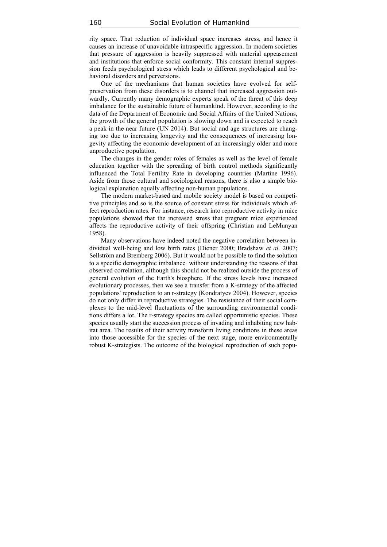rity space. That reduction of individual space increases stress, and hence it causes an increase of unavoidable intraspecific aggression. In modern societies that pressure of aggression is heavily suppressed with material appeasement and institutions that enforce social conformity. This constant internal suppression feeds psychological stress which leads to different psychological and behavioral disorders and perversions.

One of the mechanisms that human societies have evolved for selfpreservation from these disorders is to channel that increased aggression outwardly. Currently many demographic experts speak of the threat of this deep imbalance for the sustainable future of humankind. However, according to the data of the Department of Economic and Social Affairs of the United Nations, the growth of the general population is slowing down and is expected to reach a peak in the near future (UN 2014). But social and age structures are changing too due to increasing longevity and the consequences of increasing longevity affecting the economic development of an increasingly older and more unproductive population.

The changes in the gender roles of females as well as the level of female education together with the spreading of birth control methods significantly influenced the Total Fertility Rate in developing countries (Martine 1996). Aside from those cultural and sociological reasons, there is also a simple biological explanation equally affecting non-human populations.

The modern market-based and mobile society model is based on competitive principles and so is the source of constant stress for individuals which affect reproduction rates. For instance, research into reproductive activity in mice populations showed that the increased stress that pregnant mice experienced affects the reproductive activity of their offspring (Christian and LeMunyan 1958).

Many observations have indeed noted the negative correlation between individual well-being and low birth rates (Diener 2000; Bradshaw *et al.* 2007; Sellström and Bremberg 2006). But it would not be possible to find the solution to a specific demographic imbalance without understanding the reasons of that observed correlation, although this should not be realized outside the process of general evolution of the Earth's biosphere. If the stress levels have increased evolutionary processes, then we see a transfer from a K-strategy of the affected populations' reproduction to an r-strategy (Kondratyev 2004). However, species do not only differ in reproductive strategies. The resistance of their social complexes to the mid-level fluctuations of the surrounding environmental conditions differs a lot. The r-strategy species are called opportunistic species. These species usually start the succession process of invading and inhabiting new habitat area. The results of their activity transform living conditions in these areas into those accessible for the species of the next stage, more environmentally robust K-strategists. The outcome of the biological reproduction of such popu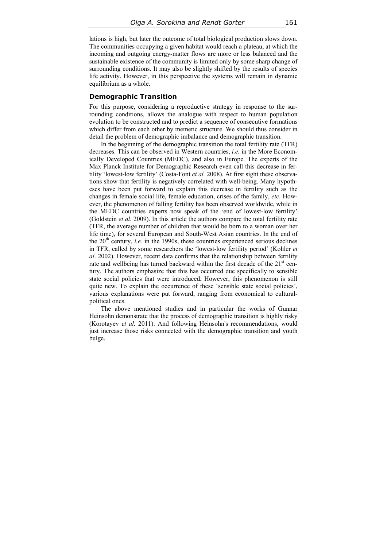lations is high, but later the outcome of total biological production slows down. The communities occupying a given habitat would reach a plateau, at which the incoming and outgoing energy-matter flows are more or less balanced and the sustainable existence of the community is limited only by some sharp change of surrounding conditions. It may also be slightly shifted by the results of species life activity. However, in this perspective the systems will remain in dynamic equilibrium as a whole.

#### **Demographic Transition**

For this purpose, considering a reproductive strategy in response to the surrounding conditions, allows the analogue with respect to human population evolution to be constructed and to predict a sequence of consecutive formations which differ from each other by memetic structure. We should thus consider in detail the problem of demographic imbalance and demographic transition.

In the beginning of the demographic transition the total fertility rate (TFR) decreases. This can be observed in Western countries, *i.e.* in the More Economically Developed Countries (MEDC), and also in Europe. The experts of the Max Planck Institute for Demographic Research even call this decrease in fertility 'lowest-low fertility' (Costa-Font *et al.* 2008). At first sight these observations show that fertility is negatively correlated with well-being. Many hypotheses have been put forward to explain this decrease in fertility such as the changes in female social life, female education, crises of the family, *etc*. However, the phenomenon of falling fertility has been observed worldwide, while in the MEDC countries experts now speak of the 'end of lowest-low fertility' (Goldstein *et al.* 2009). In this article the authors compare the total fertility rate (TFR, the average number of children that would be born to a woman over her life time), for several European and South-West Asian countries. In the end of the  $20<sup>th</sup>$  century, *i.e.* in the 1990s, these countries experienced serious declines in TFR, called by some researchers the 'lowest-low fertility period' (Kohler *et al*. 2002). However, recent data confirms that the relationship between fertility rate and wellbeing has turned backward within the first decade of the  $21<sup>st</sup>$  century. The authors emphasize that this has occurred due specifically to sensible state social policies that were introduced**.** However, this phenomenon is still quite new. To explain the occurrence of these 'sensible state social policies', various explanations were put forward, ranging from economical to culturalpolitical ones.

The above mentioned studies and in particular the works of Gunnar Heinsohn demonstrate that the process of demographic transition is highly risky (Korotayev *et al.* 2011). And following Heinsohn's recommendations, would just increase those risks connected with the demographic transition and youth bulge.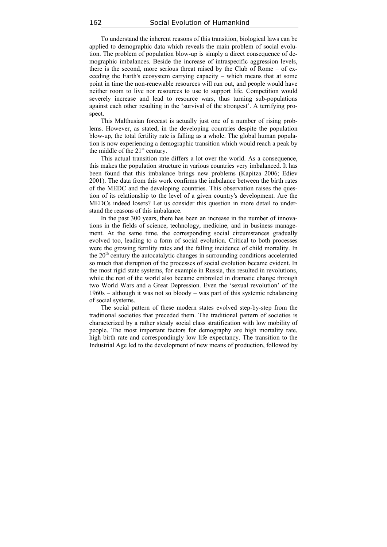To understand the inherent reasons of this transition, biological laws can be applied to demographic data which reveals the main problem of social evolution. The problem of population blow-up is simply a direct consequence of demographic imbalances. Beside the increase of intraspecific aggression levels, there is the second, more serious threat raised by the Club of Rome – of exceeding the Earth's ecosystem carrying capacity – which means that at some point in time the non-renewable resources will run out, and people would have neither room to live nor resources to use to support life. Competition would severely increase and lead to resource wars, thus turning sub-populations against each other resulting in the 'survival of the strongest'. A terrifying prospect.

This Malthusian forecast is actually just one of a number of rising problems. However, as stated, in the developing countries despite the population blow-up, the total fertility rate is falling as a whole. The global human population is now experiencing a demographic transition which would reach a peak by the middle of the  $21<sup>st</sup>$  century.

This actual transition rate differs a lot over the world. As a consequence, this makes the population structure in various countries very imbalanced. It has been found that this imbalance brings new problems (Kapitza 2006; Ediev 2001). The data from this work confirms the imbalance between the birth rates of the MEDC and the developing countries. This observation raises the question of its relationship to the level of a given country's development. Are the MEDCs indeed losers? Let us consider this question in more detail to understand the reasons of this imbalance.

In the past 300 years, there has been an increase in the number of innovations in the fields of science, technology, medicine, and in business management. At the same time, the corresponding social circumstances gradually evolved too, leading to a form of social evolution. Critical to both processes were the growing fertility rates and the falling incidence of child mortality. In the  $20<sup>th</sup>$  century the autocatalytic changes in surrounding conditions accelerated so much that disruption of the processes of social evolution became evident. In the most rigid state systems, for example in Russia, this resulted in revolutions, while the rest of the world also became embroiled in dramatic change through two World Wars and a Great Depression. Even the 'sexual revolution' of the 1960s – although it was not so bloody – was part of this systemic rebalancing of social systems.

The social pattern of these modern states evolved step-by-step from the traditional societies that preceded them. The traditional pattern of societies is characterized by a rather steady social class stratification with low mobility of people. The most important factors for demography are high mortality rate, high birth rate and correspondingly low life expectancy. The transition to the Industrial Age led to the development of new means of production, followed by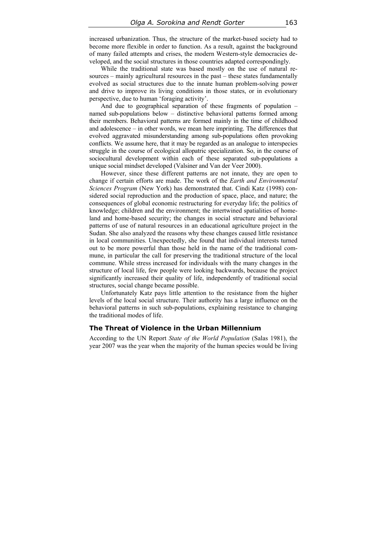increased urbanization. Thus, the structure of the market-based society had to become more flexible in order to function. As a result, against the background of many failed attempts and crises, the modern Western-style democracies developed, and the social structures in those countries adapted correspondingly.

While the traditional state was based mostly on the use of natural resources – mainly agricultural resources in the past – these states fundamentally evolved as social structures due to the innate human problem-solving power and drive to improve its living conditions in those states, or in evolutionary perspective, due to human 'foraging activity'.

And due to geographical separation of these fragments of population – named sub-populations below – distinctive behavioral patterns formed among their members. Behavioral patterns are formed mainly in the time of childhood and adolescence – in other words, we mean here imprinting. The differences that evolved aggravated misunderstanding among sub-populations often provoking conflicts. We assume here, that it may be regarded as an analogue to interspecies struggle in the course of ecological allopatric specialization. So, in the course of sociocultural development within each of these separated sub-populations a unique social mindset developed (Valsiner and Van der Veer 2000).

However, since these different patterns are not innate, they are open to change if certain efforts are made. The work of the *Earth and Environmental Sciences Program* (New York) has demonstrated that. Cindi Katz (1998) considered social reproduction and the production of space, place, and nature; the consequences of global economic restructuring for everyday life; the politics of knowledge; children and the environment; the intertwined spatialities of homeland and home-based security; the changes in social structure and behavioral patterns of use of natural resources in an educational agriculture project in the Sudan. She also analyzed the reasons why these changes caused little resistance in local communities. Unexpectedly, she found that individual interests turned out to be more powerful than those held in the name of the traditional commune, in particular the call for preserving the traditional structure of the local commune. While stress increased for individuals with the many changes in the structure of local life, few people were looking backwards, because the project significantly increased their quality of life, independently of traditional social structures, social change became possible.

Unfortunately Katz pays little attention to the resistance from the higher levels of the local social structure. Their authority has a large influence on the behavioral patterns in such sub-populations, explaining resistance to changing the traditional modes of life.

## **The Threat of Violence in the Urban Millennium**

According to the UN Report *State of the World Population* (Salas 1981), the year 2007 was the year when the majority of the human species would be living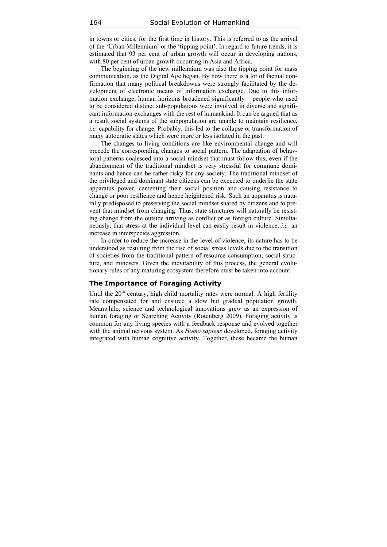in towns or cities, for the first time in history. This is referred to as the arrival of the 'Urban Millennium' or the 'tipping point'. In regard to future trends, it is estimated that 93 per cent of urban growth will occur in developing nations, with 80 per cent of urban growth occurring in Asia and Africa.

The beginning of the new millennium was also the tipping point for mass communication, as the Digital Age began. By now there is a lot of factual confirmation that many political breakdowns were strongly facilitated by the development of electronic means of information exchange. Due to this information exchange, human horizons broadened significantly – people who used to be considered distinct sub-populations were involved in diverse and significant information exchanges with the rest of humankind. It can be argued that as a result social systems of the subpopulation are unable to maintain resilience, *i.e.* capability for change. Probably, this led to the collapse or transformation of many autocratic states which were more or less isolated in the past.

The changes to living conditions are like environmental change and will precede the corresponding changes to social pattern. The adaptation of behavioral patterns coalesced into a social mindset that must follow this, even if the abandonment of the traditional mindset is very stressful for commune dominants and hence can be rather risky for any society. The traditional mindset of the privileged and dominant state citizens can be expected to underlie the state apparatus power, cementing their social position and causing resistance to change or poor resilience and hence heightened risk. Such an apparatus is naturally predisposed to preserving the social mindset shared by citizens and to prevent that mindset from changing. Thus, state structures will naturally be resisting change from the outside arriving as conflict or as foreign culture. Simultaneously, that stress at the individual level can easily result in violence, *i.e.* an increase in interspecies aggression.

In order to reduce the increase in the level of violence, its nature has to be understood as resulting from the rise of social stress levels due to the transition of societies from the traditional pattern of resource consumption, social structure, and mindsets. Given the inevitability of this process, the general evolutionary rules of any maturing ecosystem therefore must be taken into account.

## **The Importance of Foraging Activity**

Until the  $20<sup>th</sup>$  century, high child mortality rates were normal. A high fertility rate compensated for and ensured a slow but gradual population growth. Meanwhile, science and technological innovations grew as an expression of human foraging or Searching Activity (Rotenberg 2009). Foraging activity is common for any living species with a feedback response and evolved together with the animal nervous system. As *Homo sapiens* developed, foraging activity integrated with human cognitive activity. Together, these became the human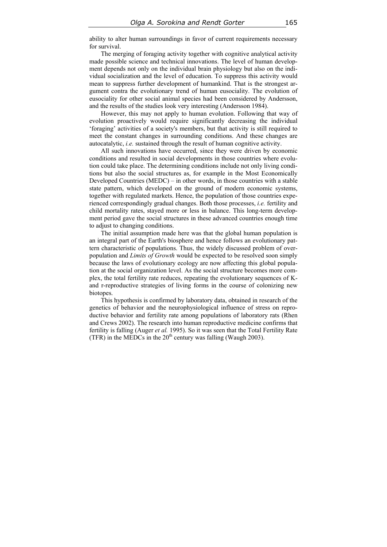ability to alter human surroundings in favor of current requirements necessary for survival.

The merging of foraging activity together with cognitive analytical activity made possible science and technical innovations. The level of human development depends not only on the individual brain physiology but also on the individual socialization and the level of education. To suppress this activity would mean to suppress further development of humankind. That is the strongest argument contra the evolutionary trend of human eusociality. The evolution of eusociality for other social animal species had been considered by Andersson, and the results of the studies look very interesting (Andersson 1984).

However, this may not apply to human evolution. Following that way of evolution proactively would require significantly decreasing the individual 'foraging' activities of a society's members, but that activity is still required to meet the constant changes in surrounding conditions. And these changes are autocatalytic, *i.e.* sustained through the result of human cognitive activity.

All such innovations have occurred, since they were driven by economic conditions and resulted in social developments in those countries where evolution could take place. The determining conditions include not only living conditions but also the social structures as, for example in the Most Economically Developed Countries (MEDC) – in other words, in those countries with a stable state pattern, which developed on the ground of modern economic systems, together with regulated markets. Hence, the population of those countries experienced correspondingly gradual changes. Both those processes, *i.e.* fertility and child mortality rates, stayed more or less in balance. This long-term development period gave the social structures in these advanced countries enough time to adjust to changing conditions.

The initial assumption made here was that the global human population is an integral part of the Earth's biosphere and hence follows an evolutionary pattern characteristic of populations. Thus, the widely discussed problem of overpopulation and *Limits of Growth* would be expected to be resolved soon simply because the laws of evolutionary ecology are now affecting this global population at the social organization level. As the social structure becomes more complex, the total fertility rate reduces, repeating the evolutionary sequences of Kand r-reproductive strategies of living forms in the course of colonizing new biotopes.

This hypothesis is confirmed by laboratory data, obtained in research of the genetics of behavior and the neurophysiological influence of stress on reproductive behavior and fertility rate among populations of laboratory rats (Rhen and Crews 2002). The research into human reproductive medicine confirms that fertility is falling (Auger *et al.* 1995). So it was seen that the Total Fertility Rate (TFR) in the MEDCs in the  $20<sup>th</sup>$  century was falling (Waugh 2003).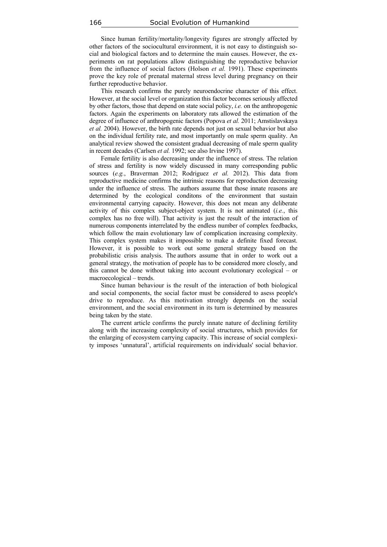Since human fertility/mortality/longevity figures are strongly affected by other factors of the sociocultural environment, it is not easy to distinguish social and biological factors and to determine the main causes. However, the experiments on rat populations allow distinguishing the reproductive behavior from the influence of social factors (Holson *et al.* 1991). These experiments prove the key role of prenatal maternal stress level during pregnancy on their further reproductive behavior.

This research confirms the purely neuroendocrine character of this effect. However, at the social level or organization this factor becomes seriously affected by other factors, those that depend on state social policy, *i.e.* on the anthropogenic factors. Again the experiments on laboratory rats allowed the estimation of the degree of influence of anthropogenic factors (Popova *et al.* 2011; Amstislavskaya *et al.* 2004). However, the birth rate depends not just on sexual behavior but also on the individual fertility rate, and most importantly on male sperm quality. An analytical review showed the consistent gradual decreasing of male sperm quality in recent decades (Carlsen *et al.* 1992; see also Irvine 1997).

Female fertility is also decreasing under the influence of stress. The relation of stress and fertility is now widely discussed in many corresponding public sources (*e.g.*, Braverman 2012; Rodriguez *et al.* 2012). This data from reproductive medicine confirms the intrinsic reasons for reproduction decreasing under the influence of stress. The authors assume that those innate reasons are determined by the ecological conditons of the environment that sustain environmental carrying capacity. However, this does not mean any deliberate activity of this complex subject-object system. It is not animated (*i.e.*, this complex has no free will). That activity is just the result of the interaction of numerous components interrelated by the endless number of complex feedbacks, which follow the main evolutionary law of complication increasing complexity. This complex system makes it impossible to make a definite fixed forecast. However, it is possible to work out some general strategy based on the probabilistic crisis analysis. The authors assume that in order to work out a general strategy, the motivation of people has to be considered more closely, and this cannot be done without taking into account evolutionary ecological – or macroecological – trends.

Since human behaviour is the result of the interaction of both biological and social components, the social factor must be considered to asess people's drive to reproduce. As this motivation strongly depends on the social environment, and the social environment in its turn is determined by measures being taken by the state.

The current article confirms the purely innate nature of declining fertility along with the increasing complexity of social structures, which provides for the enlarging of ecosystem carrying capacity. This increase of social complexity imposes 'unnatural', artificial requirements on individuals' social behavior.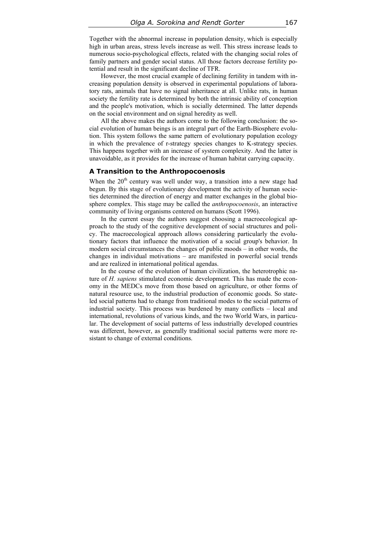Together with the abnormal increase in population density, which is especially high in urban areas, stress levels increase as well. This stress increase leads to numerous socio-psychological effects, related with the changing social roles of family partners and gender social status. All those factors decrease fertility potential and result in the significant decline of TFR.

However, the most crucial example of declining fertility in tandem with increasing population density is observed in experimental populations of laboratory rats, animals that have no signal inheritance at all. Unlike rats, in human society the fertility rate is determined by both the intrinsic ability of conception and the people's motivation, which is socially determined. The latter depends on the social environment and on signal heredity as well.

All the above makes the authors come to the following conclusion: the social evolution of human beings is an integral part of the Earth-Biosphere evolution. This system follows the same pattern of evolutionary population ecology in which the prevalence of r-strategy species changes to K-strategy species. This happens together with an increase of system complexity. And the latter is unavoidable, as it provides for the increase of human habitat carrying capacity.

## **A Transition to the Anthropocoenosis**

When the  $20<sup>th</sup>$  century was well under way, a transition into a new stage had begun. By this stage of evolutionary development the activity of human societies determined the direction of energy and matter exchanges in the global biosphere complex. This stage may be called the *anthropocoenosis*, an interactive community of living organisms centered on humans (Scott 1996).

In the current essay the authors suggest choosing a macroecological approach to the study of the cognitive development of social structures and policy. The macroecological approach allows considering particularly the evolutionary factors that influence the motivation of a social group's behavior. In modern social circumstances the changes of public moods – in other words, the changes in individual motivations – are manifested in powerful social trends and are realized in international political agendas.

In the course of the evolution of human civilization, the heterotrophic nature of *H. sapiens* stimulated economic development. This has made the economy in the MEDCs move from those based on agriculture, or other forms of natural resource use, to the industrial production of economic goods. So stateled social patterns had to change from traditional modes to the social patterns of industrial society. This process was burdened by many conflicts – local and international, revolutions of various kinds, and the two World Wars, in particular. The development of social patterns of less industrially developed countries was different, however, as generally traditional social patterns were more resistant to change of external conditions.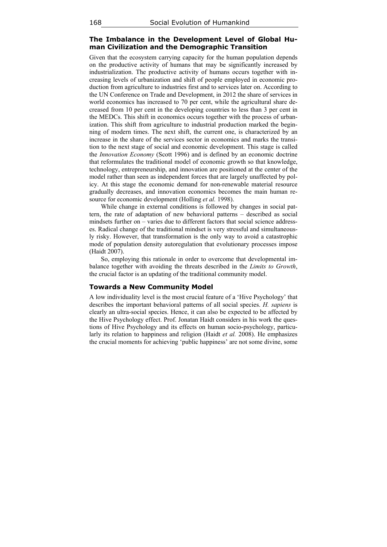# **The Imbalance in the Development Level of Global Human Civilization and the Demographic Transition**

Given that the ecosystem carrying capacity for the human population depends on the productive activity of humans that may be significantly increased by industrialization. The productive activity of humans occurs together with increasing levels of urbanization and shift of people employed in economic production from agriculture to industries first and to services later on. According to the UN Conference on Trade and Development, in 2012 the share of services in world economics has increased to 70 per cent, while the agricultural share decreased from 10 per cent in the developing countries to less than 3 per cent in the MEDCs. This shift in economics occurs together with the process of urbanization. This shift from agriculture to industrial production marked the beginning of modern times. The next shift, the current one, is characterized by an increase in the share of the services sector in economics and marks the transition to the next stage of social and economic development. This stage is called the *Innovation Economy* (Scott 1996) and is defined by an economic doctrine that reformulates the traditional model of economic growth so that knowledge, technology, entrepreneurship, and innovation are positioned at the center of the model rather than seen as independent forces that are largely unaffected by policy. At this stage the economic demand for non-renewable material resource gradually decreases, and innovation economics becomes the main human resource for economic development (Holling *et al.* 1998).

While change in external conditions is followed by changes in social pattern, the rate of adaptation of new behavioral patterns – described as social mindsets further on – varies due to different factors that social science addresses. Radical change of the traditional mindset is very stressful and simultaneously risky. However, that transformation is the only way to avoid a catastrophic mode of population density autoregulation that evolutionary processes impose (Haidt 2007).

So, employing this rationale in order to overcome that developmental imbalance together with avoiding the threats described in the *Limits to Growth*, the crucial factor is an updating of the traditional community model.

#### **Towards a New Community Model**

A low individuality level is the most crucial feature of a 'Hive Psychology' that describes the important behavioral patterns of all social species. *H. sapiens* is clearly an ultra-social species. Hence, it can also be expected to be affected by the Hive Psychology effect. Prof. Jonatan Haidt considers in his work the questions of Hive Psychology and its effects on human socio-psychology, particularly its relation to happiness and religion (Haidt *et al.* 2008). He emphasizes the crucial moments for achieving 'public happiness' are not some divine, some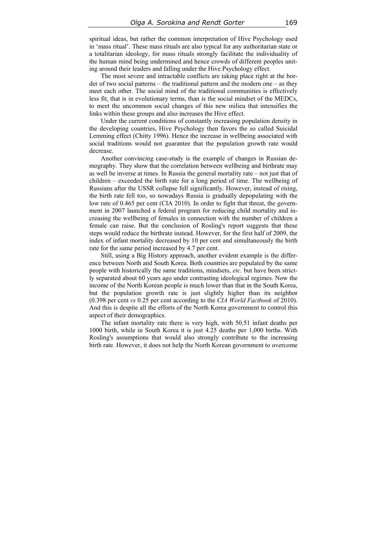spiritual ideas, but rather the common interpretation of Hive Psychology used in 'mass ritual'. These mass rituals are also typical for any authoritarian state or a totalitarian ideology, for mass rituals strongly facilitate the individuality of the human mind being undermined and hence crowds of different peoples uniting around their leaders and falling under the Hive Psychology effect.

The most severe and intractable conflicts are taking place right at the border of two social patterns – the traditional pattern and the modern one – as they meet each other. The social mind of the traditional communities is effectively less fit, that is in evolutionary terms, than is the social mindset of the MEDCs, to meet the uncommon social changes of this new milieu that intensifies the links within these groups and also increases the Hive effect.

Under the current conditions of constantly increasing population density in the developing countries, Hive Psychology then favors the so called Suicidal Lemming effect (Chitty 1996). Hence the increase in wellbeing associated with social traditions would not guarantee that the population growth rate would decrease.

Another convincing case-study is the example of changes in Russian demography. They show that the correlation between wellbeing and birthrate may as well be inverse at times. In Russia the general mortality rate – not just that of children – exceeded the birth rate for a long period of time. The wellbeing of Russians after the USSR collapse fell significantly. However, instead of rising, the birth rate fell too, so nowadays Russia is gradually depopulating with the low rate of 0.465 per cent (CIA 2010). In order to fight that threat, the government in 2007 launched a federal program for reducing child mortality and increasing the wellbeing of females in connection with the number of children a female can raise. But the conclusion of Rosling's report suggests that these steps would reduce the birthrate instead. However, for the first half of 2009, the index of infant mortality decreased by 10 per cent and simultaneously the birth rate for the same period increased by 4.7 per cent.

Still, using a Big History approach, another evident example is the difference between North and South Korea. Both countries are populated by the same people with historically the same traditions, mindsets, *etc.* but have been strictly separated about 60 years ago under contrasting ideological regimes. Now the income of the North Korean people is much lower than that in the South Korea, but the population growth rate is just slightly higher than its neighbor (0.398 per cent *vs* 0.25 per cent according to the *CIA World Factbook* of 2010). And this is despite all the efforts of the North Korea government to control this aspect of their demographics.

The infant mortality rate there is very high, with 50.51 infant deaths per 1000 birth, while in South Korea it is just 4.25 deaths per 1,000 births. With Rosling's assumptions that would also strongly contribute to the increasing birth rate. However, it does not help the North Korean government to overcome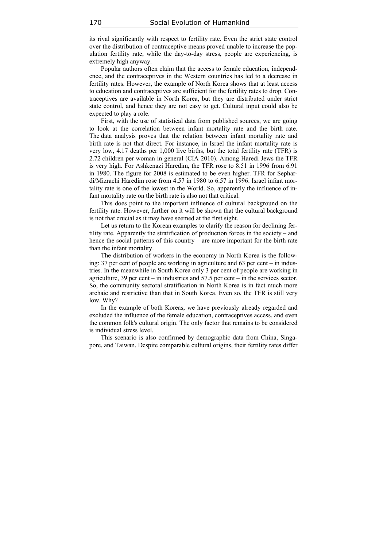its rival significantly with respect to fertility rate. Even the strict state control over the distribution of contraceptive means proved unable to increase the population fertility rate, while the day-to-day stress, people are experiencing, is extremely high anyway.

Popular authors often claim that the access to female education, independence, and the contraceptives in the Western countries has led to a decrease in fertility rates. However, the example of North Korea shows that at least access to education and contraceptives are sufficient for the fertility rates to drop. Contraceptives are available in North Korea, but they are distributed under strict state control, and hence they are not easy to get. Cultural input could also be expected to play a role.

First, with the use of statistical data from published sources, we are going to look at the correlation between infant mortality rate and the birth rate. The data analysis proves that the relation between infant mortality rate and birth rate is not that direct. For instance, in Israel the infant mortality rate is very low, 4.17 deaths per 1,000 live births, but the total fertility rate (TFR) is 2.72 children per woman in general (CIA 2010). Among Haredi Jews the TFR is very high. For Ashkenazi Haredim, the TFR rose to 8.51 in 1996 from 6.91 in 1980. The figure for 2008 is estimated to be even higher. TFR for Sephardi/Mizrachi Haredim rose from 4.57 in 1980 to 6.57 in 1996. Israel infant mortality rate is one of the lowest in the World. So, apparently the influence of infant mortality rate on the birth rate is also not that critical.

This does point to the important influence of cultural background on the fertility rate. However, further on it will be shown that the cultural background is not that crucial as it may have seemed at the first sight.

Let us return to the Korean examples to clarify the reason for declining fertility rate. Apparently the stratification of production forces in the society – and hence the social patterns of this country – are more important for the birth rate than the infant mortality.

The distribution of workers in the economy in North Korea is the following: 37 per cent of people are working in agriculture and 63 per cent – in industries. In the meanwhile in South Korea only 3 per cent of people are working in agriculture, 39 per cent – in industries and 57.5 per cent – in the services sector. So, the community sectoral stratification in North Korea is in fact much more archaic and restrictive than that in South Korea. Even so, the TFR is still very low. Why?

In the example of both Koreas, we have previously already regarded and excluded the influence of the female education, contraceptives access, and even the common folk's cultural origin. The only factor that remains to be considered is individual stress level.

This scenario is also confirmed by demographic data from China, Singapore, and Taiwan. Despite comparable cultural origins, their fertility rates differ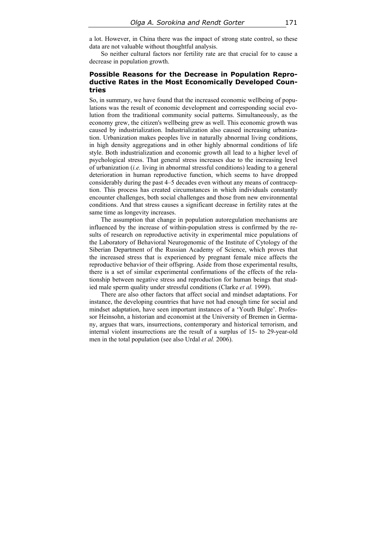a lot. However, in China there was the impact of strong state control, so these data are not valuable without thoughtful analysis.

So neither cultural factors nor fertility rate are that crucial for to cause a decrease in population growth.

# **Possible Reasons for the Decrease in Population Reproductive Rates in the Most Economically Developed Countries**

So, in summary, we have found that the increased economic wellbeing of populations was the result of economic development and corresponding social evolution from the traditional community social patterns. Simultaneously, as the economy grew, the citizen's wellbeing grew as well. This economic growth was caused by industrialization. Industrialization also caused increasing urbanization. Urbanization makes peoples live in naturally abnormal living conditions, in high density aggregations and in other highly abnormal conditions of life style. Both industrialization and economic growth all lead to a higher level of psychological stress. That general stress increases due to the increasing level of urbanization (*i.e.* living in abnormal stressful conditions) leading to a general deterioration in human reproductive function, which seems to have dropped considerably during the past 4–5 decades even without any means of contraception. This process has created circumstances in which individuals constantly encounter challenges, both social challenges and those from new environmental conditions. And that stress causes a significant decrease in fertility rates at the same time as longevity increases.

The assumption that change in population autoregulation mechanisms are influenced by the increase of within-population stress is confirmed by the results of research on reproductive activity in experimental mice populations of the Laboratory of Behavioral Neurogenomic of the Institute of Cytology of the Siberian Department of the Russian Academy of Science, which proves that the increased stress that is experienced by pregnant female mice affects the reproductive behavior of their offspring. Aside from those experimental results, there is a set of similar experimental confirmations of the effects of the relationship between negative stress and reproduction for human beings that studied male sperm quality under stressful conditions (Clarke *et al.* 1999).

There are also other factors that affect social and mindset adaptations. For instance, the developing countries that have not had enough time for social and mindset adaptation, have seen important instances of a 'Youth Bulge'. Professor Heinsohn, a historian and economist at the University of Bremen in Germany, argues that wars, insurrections, contemporary and historical terrorism, and internal violent insurrections are the result of a surplus of 15- to 29-year-old men in the total population (see also Urdal *et al.* 2006).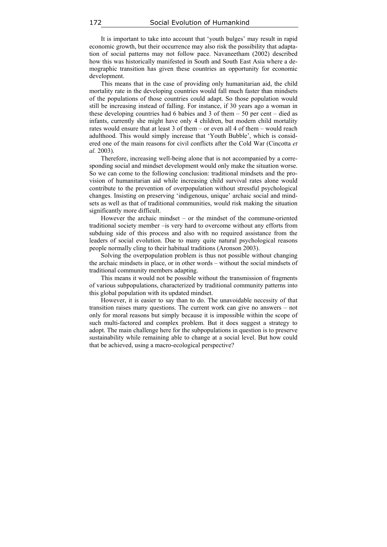It is important to take into account that 'youth bulges' may result in rapid economic growth, but their occurrence may also risk the possibility that adaptation of social patterns may not follow pace. Navaneetham (2002) described how this was historically manifested in South and South East Asia where a demographic transition has given these countries an opportunity for economic development.

This means that in the case of providing only humanitarian aid, the child mortality rate in the developing countries would fall much faster than mindsets of the populations of those countries could adapt. So those population would still be increasing instead of falling. For instance, if 30 years ago a woman in these developing countries had 6 babies and 3 of them – 50 per cent – died as infants, currently she might have only 4 children, but modern child mortality rates would ensure that at least 3 of them – or even all 4 of them – would reach adulthood. This would simply increase that 'Youth Bubble', which is considered one of the main reasons for civil conflicts after the Cold War (Cincotta *et al.* 2003).

Therefore, increasing well-being alone that is not accompanied by a corresponding social and mindset development would only make the situation worse. So we can come to the following conclusion: traditional mindsets and the provision of humanitarian aid while increasing child survival rates alone would contribute to the prevention of overpopulation without stressful psychological changes. Insisting on preserving 'indigenous, unique' archaic social and mindsets as well as that of traditional communities, would risk making the situation significantly more difficult.

However the archaic mindset – or the mindset of the commune-oriented traditional society member –is very hard to overcome without any efforts from subduing side of this process and also with no required assistance from the leaders of social evolution. Due to many quite natural psychological reasons people normally cling to their habitual traditions (Aronson 2003).

Solving the overpopulation problem is thus not possible without changing the archaic mindsets in place, or in other words – without the social mindsets of traditional community members adapting.

This means it would not be possible without the transmission of fragments of various subpopulations, characterized by traditional community patterns into this global population with its updated mindset.

However, it is easier to say than to do. The unavoidable necessity of that transition raises many questions. The current work can give no answers – not only for moral reasons but simply because it is impossible within the scope of such multi-factored and complex problem. But it does suggest a strategy to adopt. The main challenge here for the subpopulations in question is to preserve sustainability while remaining able to change at a social level. But how could that be achieved, using a macro-ecological perspective?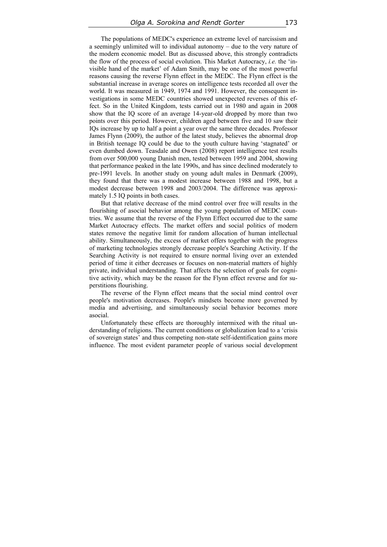The populations of MEDC's experience an extreme level of narcissism and a seemingly unlimited will to individual autonomy – due to the very nature of the modern economic model. But as discussed above, this strongly contradicts the flow of the process of social evolution. This Market Autocracy, *i.e.* the 'invisible hand of the market' of Adam Smith, may be one of the most powerful reasons causing the reverse Flynn effect in the MEDC. The Flynn effect is the substantial increase in average scores on intelligence tests recorded all over the world. It was measured in 1949, 1974 and 1991. However, the consequent investigations in some MEDC countries showed unexpected reverses of this effect. So in the United Kingdom, tests carried out in 1980 and again in 2008 show that the IQ score of an average 14-year-old dropped by more than two points over this period. However, children aged between five and 10 saw their IQs increase by up to half a point a year over the same three decades. Professor James Flynn (2009), the author of the latest study, believes the abnormal drop in British teenage IQ could be due to the youth culture having 'stagnated' or even dumbed down. Teasdale and Owen (2008) report intelligence test results from over 500,000 young Danish men, tested between 1959 and 2004, showing that performance peaked in the late 1990s, and has since declined moderately to pre-1991 levels. In another study on young adult males in Denmark (2009), they found that there was a modest increase between 1988 and 1998, but a modest decrease between 1998 and 2003/2004. The difference was approximately 1.5 IQ points in both cases.

But that relative decrease of the mind control over free will results in the flourishing of asocial behavior among the young population of MEDC countries. We assume that the reverse of the Flynn Effect occurred due to the same Market Autocracy effects. The market offers and social politics of modern states remove the negative limit for random allocation of human intellectual ability. Simultaneously, the excess of market offers together with the progress of marketing technologies strongly decrease people's Searching Activity. If the Searching Activity is not required to ensure normal living over an extended period of time it either decreases or focuses on non-material matters of highly private, individual understanding. That affects the selection of goals for cognitive activity, which may be the reason for the Flynn effect reverse and for superstitions flourishing.

The reverse of the Flynn effect means that the social mind control over people's motivation decreases. People's mindsets become more governed by media and advertising, and simultaneously social behavior becomes more asocial.

Unfortunately these effects are thoroughly intermixed with the ritual understanding of religions. The current conditions or globalization lead to a 'crisis of sovereign states' and thus competing non-state self-identification gains more influence. The most evident parameter people of various social development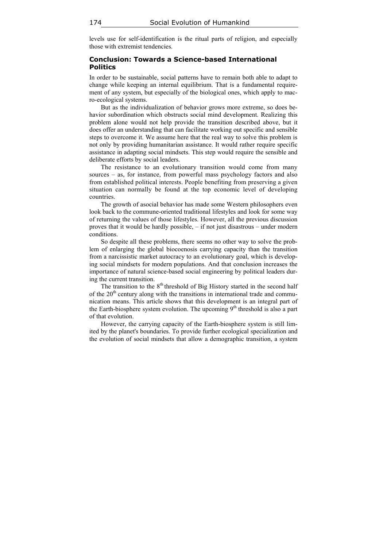levels use for self-identification is the ritual parts of religion, and especially those with extremist tendencies.

## **Conclusion: Towards a Science-based International Politics**

In order to be sustainable, social patterns have to remain both able to adapt to change while keeping an internal equilibrium. That is a fundamental requirement of any system, but especially of the biological ones, which apply to macro-ecological systems.

But as the individualization of behavior grows more extreme, so does behavior subordination which obstructs social mind development. Realizing this problem alone would not help provide the transition described above, but it does offer an understanding that can facilitate working out specific and sensible steps to overcome it. We assume here that the real way to solve this problem is not only by providing humanitarian assistance. It would rather require specific assistance in adapting social mindsets. This step would require the sensible and deliberate efforts by social leaders.

The resistance to an evolutionary transition would come from many sources – as, for instance, from powerful mass psychology factors and also from established political interests. People benefiting from preserving a given situation can normally be found at the top economic level of developing countries.

The growth of asocial behavior has made some Western philosophers even look back to the commune-oriented traditional lifestyles and look for some way of returning the values of those lifestyles. However, all the previous discussion proves that it would be hardly possible, – if not just disastrous – under modern conditions.

So despite all these problems, there seems no other way to solve the problem of enlarging the global biocoenosis carrying capacity than the transition from a narcissistic market autocracy to an evolutionary goal, which is developing social mindsets for modern populations. And that conclusion increases the importance of natural science-based social engineering by political leaders during the current transition.

The transition to the  $8<sup>th</sup>$  threshold of Big History started in the second half of the  $20<sup>th</sup>$  century along with the transitions in international trade and communication means. This article shows that this development is an integral part of the Earth-biosphere system evolution. The upcoming  $9<sup>th</sup>$  threshold is also a part of that evolution.

However, the carrying capacity of the Earth-biosphere system is still limited by the planet's boundaries. To provide further ecological specialization and the evolution of social mindsets that allow a demographic transition, a system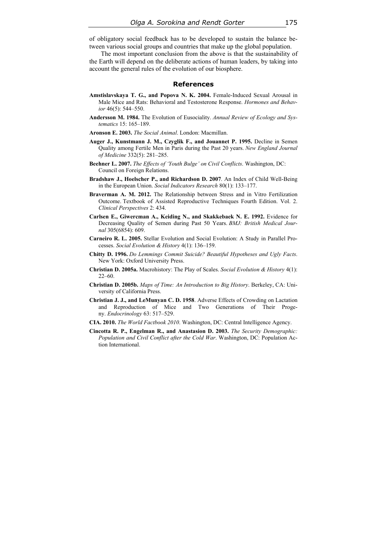of obligatory social feedback has to be developed to sustain the balance between various social groups and countries that make up the global population.

The most important conclusion from the above is that the sustainability of the Earth will depend on the deliberate actions of human leaders, by taking into account the general rules of the evolution of our biosphere.

#### **References**

- Amstislavskaya T. G., and Popova N. K. 2004. Female-Induced Sexual Arousal in Male Mice and Rats: Behavioral and Testosterone Response. *Hormones and Behavior* 46(5): 544–550.
- **Andersson M. 1984.** The Evolution of Eusociality. *Annual Review of Ecology and Systematics* 15: 165–189.
- **Aronson E. 2003.** *The Social Animal*. London: Macmillan.
- **Auger J., Kunstmann J. M., Czyglik F., and Jouannet P. 1995.** Decline in Semen Quality among Fertile Men in Paris during the Past 20 years. *New England Journal of Medicine* 332(5): 281–285.
- **Beehner L. 2007.** *The Effects of 'Youth Bulge' on Civil Conflicts*. Washington, DC: Council on Foreign Relations.
- **Bradshaw J., Hoelscher P., and Richardson D. 2007**. An Index of Child Well-Being in the European Union. *Social Indicators Research* 80(1): 133–177.
- **Braverman A. M. 2012.** The Relationship between Stress and in Vitro Fertilization Outcome. Textbook of Assisted Reproductive Techniques Fourth Edition. Vol. 2. *Clinical Perspectives* 2: 434.
- **Carlsen E., Giwercman A., Keiding N., and Skakkebaek N. E. 1992.** Evidence for Decreasing Quality of Semen during Past 50 Years. *BMJ: British Medical Journal* 305(6854): 609.
- **Carneiro R. L. 2005.** Stellar Evolution and Social Evolution: A Study in Parallel Processes. *Social Evolution & History* 4(1): 136–159.
- **Chitty D. 1996.** *Do Lemmings Commit Suicide? Beautiful Hypotheses and Ugly Facts*. New York: Oxford University Press.
- **Christian D. 2005a.** Macrohistory: The Play of Scales. *Social Evolution & History* 4(1): 22–60.
- **Christian D. 2005b.** *Maps of Time: An Introduction to Big History*. Berkeley, CA: University of California Press.
- **Christian J. J., and LeMunyan C. D. 1958**. Adverse Effects of Crowding on Lactation and Reproduction of Mice and Two Generations of Their Progeny. *Endocrinology* 63: 517–529.
- **CIA. 2010.** *The World Factbook 2010*. Washington, DC: Central Intelligence Agency.
- **Cincotta R. P., Engelman R., and Anastasion D. 2003.** *The Security Demographic: Population and Civil Conflict after the Cold War*. Washington, DC: Population Action International.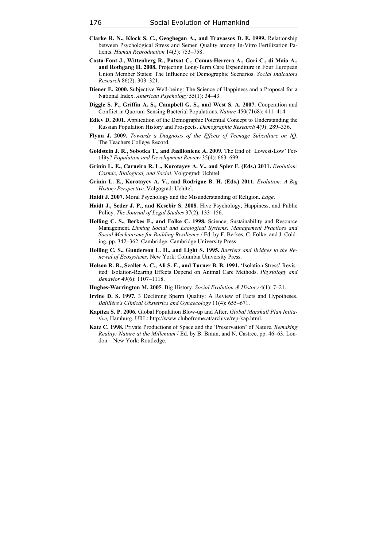- **Clarke R. N., Klock S. C., Geoghegan A., and Travassos D. E. 1999.** Relationship between Psychological Stress and Semen Quality among In-Vitro Fertilization Patients. *Human Reproduction* 14(3): 753–758.
- **Costa-Font J., Wittenberg R., Patxot C., Comas-Herrera A., Gori C., di Maio A., and Rothgang H. 2008.** Projecting Long-Term Care Expenditure in Four European Union Member States: The Influence of Demographic Scenarios. *Social Indicators Research* 86(2): 303–321.
- **Diener E. 2000.** Subjective Well-being: The Science of Happiness and a Proposal for a National Index. *American Psychology* 55(1): 34–43.
- **Diggle S. P., Griffin A. S., Campbell G. S., and West S. A. 2007.** Cooperation and Conflict in Quorum-Sensing Bacterial Populations. *Nature* 450(7168): 411–414.
- **Ediev D. 2001.** Application of the Demographic Potential Concept to Understanding the Russian Population History and Prospects. *Demographic Research* 4(9): 289–336.
- **Flynn J. 2009.** *Towards a Diagnosis of the Effects of Teenage Subculture on IQ*. The Teachers College Record.
- **Goldstein J. R., Sobotka T., and Jasilioniene A. 2009.** The End of 'Lowest-Low' Fertility? *Population and Development Review* 35(4): 663–699.
- **Grinin L. E., Carneiro R. L., Korotayev A. V., and Spier F. (Eds.) 2011.** *Evolution: Cosmic, Biological, and Social*. Volgograd: Uchitel.
- **Grinin L. E., Korotayev A. V., and Rodrigue B. H. (Eds.) 2011.** *Evolution: A Big History Perspective*. Volgograd: Uchitel.
- **Haidt J. 2007.** Moral Psychology and the Misunderstanding of Religion. *Edge*.
- **Haidt J., Seder J. P., and Kesebir S. 2008.** Hive Psychology, Happiness, and Public Policy. *The Journal of Legal Studies* 37(2): 133–156.
- **Holling C. S., Berkes F., and Folke C. 1998.** Science, Sustainability and Resource Management. *Linking Social and Ecological Systems: Management Practices and Social Mechanisms for Building Resilience* / Ed. by F. Berkes, C. Folke, and J. Colding, pp. 342–362. Cambridge: Cambridge University Press.
- **Holling C. S., Gunderson L. H., and Light S. 1995.** *Barriers and Bridges to the Renewal of Ecosystems*. New York: Columbia University Press.
- **Holson R. R., Scallet A. C., Ali S. F., and Turner B. B. 1991.** 'Isolation Stress' Revisited: Isolation-Rearing Effects Depend on Animal Care Methods. *Physiology and Behavior* 49(6): 1107–1118.
- **Hughes-Warrington M. 2005**. Big History. *Social Evolution & History* 4(1): 7–21.
- **Irvine D. S. 1997.** 3 Declining Sperm Quality: A Review of Facts and Hypotheses. *Baillière's Clinical Obstetrics and Gynaecology* 11(4): 655–671.
- **Kapitza S. P. 2006.** Global Population Blow-up and After. *Global Marshall Plan Initiative,* Hamburg. URL: http://www.clubofrome.at/archive/rep-kap.html.
- **Katz C. 1998.** Private Productions of Space and the 'Preservation' of Nature. *Remaking Reality: Nature at the Millenium* / Ed. by B. Braun, and N. Castree, pp. 46–63. London – New York: Routledge.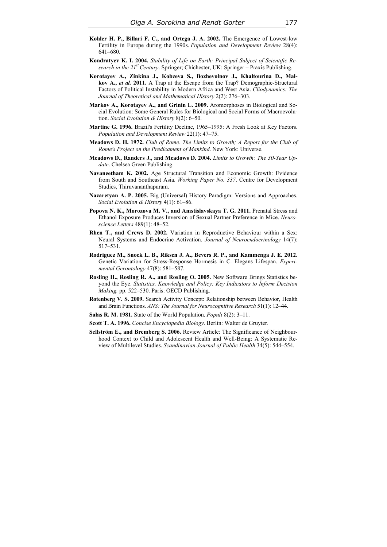- **Kohler H. P., Billari F. C., and Ortega J. A. 2002.** The Emergence of Lowest‐low Fertility in Europe during the 1990s. *Population and Development Review* 28(4): 641–680.
- **Kondratyev K. I. 2004.** *Stability of Life on Earth: Principal Subject of Scientific Research in the 21st Century*. Springer; Chichester, UK: Springer – Praxis Publishing.
- **Korotayev A., Zinkina J., Kobzeva S., Bozhevolnov J., Khaltourina D., Malkov A.,** *et al.* **2011.** A Trap at the Escape from the Trap? Demographic-Structural Factors of Political Instability in Modern Africa and West Asia. *Cliodynamics: The Journal of Theoretical and Mathematical History* 2(2): 276–303.
- **Markov A., Korotayev A., and Grinin L. 2009.** Aromorphoses in Biological аnd Social Evolution: Some General Rules for Biological and Social Forms of Macroevolution. *Social Evolution & History* 8(2): 6–50.
- **Martine G. 1996.** Brazil's Fertility Decline, 1965–1995: A Fresh Look at Key Factors. *Population and Development Review* 22(1): 47–75.
- **Meadows D. H. 1972.** *Club of Rome. The Limits to Growth; A Report for the Club of Rome's Project on the Predicament of Mankind*. New York: Universe.
- **Meadows D., Randers J., and Meadows D. 2004.** *Limits to Growth: The 30-Year Update*. Chelsea Green Publishing.
- **Navaneetham K. 2002.** Age Structural Transition and Economic Growth: Evidence from South and Southeast Asia. *Working Paper No. 337*. Centre for Development Studies, Thiruvananthapuram.
- **Nazaretyan A. P. 2005.** Big (Universal) History Paradigm: Versions and Approaches. *Social Evolution & History* 4(1): 61–86.
- **Popova N. K., Morozova M. V., and Amstislavskaya T. G. 2011.** Prenatal Stress and Ethanol Exposure Produces Inversion of Sexual Partner Preference in Mice. *Neuroscience Letters* 489(1): 48–52.
- **Rhen T., and Crews D. 2002.** Variation in Reproductive Behaviour within a Sex: Neural Systems and Endocrine Activation. *Journal of Neuroendocrinology* 14(7): 517–531.
- **Rodriguez M., Snoek L. B., Riksen J. A., Bevers R. P., and Kammenga J. E. 2012.**  Genetic Variation for Stress-Response Hormesis in C. Elegans Lifespan. *Experimental Gerontology* 47(8): 581–587.
- **Rosling H., Rosling R. A., and Rosling O. 2005.** New Software Brings Statistics beyond the Eye. *Statistics, Knowledge and Policy: Key Indicators to Inform Decision Making,* pp. 522–530. Paris: OECD Publishing.
- **Rotenberg V. S. 2009.** Search Activity Concept: Relationship between Behavior, Health and Brain Functions. *ANS: The Journal for Neurocognitive Research* 51(1): 12–44.
- **Salas R. M. 1981.** State of the World Population. *Populi* 8(2): 3–11.
- **Scott T. A. 1996.** *Concise Encyclopedia Biology*. Berlin: Walter de Gruyter.
- **Sellström E., and Bremberg S. 2006.** Review Article: The Significance of Neighbourhood Context to Child and Adolescent Health and Well-Being: A Systematic Review of Multilevel Studies. *Scandinavian Journal of Public Health* 34(5): 544–554.